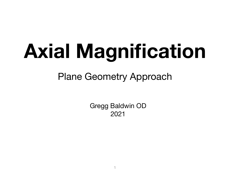# **Axial Magnification**

### Plane Geometry Approach

Gregg Baldwin OD 2021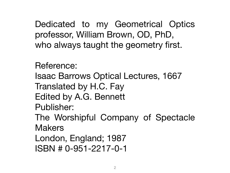Dedicated to my Geometrical Optics professor, William Brown, OD, PhD, who always taught the geometry first.

Reference: Isaac Barrows Optical Lectures, 1667 Translated by H.C. Fay Edited by A.G. Bennett Publisher: The Worshipful Company of Spectacle **Makers** 

London, England; 1987 ISBN # 0-951-2217-0-1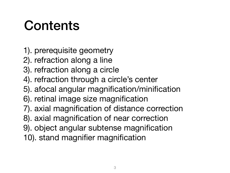# Contents

- 1). prerequisite geometry
- 2). refraction along a line
- 3). refraction along a circle
- 4). refraction through a circle's center
- 5). afocal angular magnification/minification
- 6). retinal image size magnification
- 7). axial magnification of distance correction
- 8). axial magnification of near correction
- 9). object angular subtense magnification
- 10). stand magnifier magnification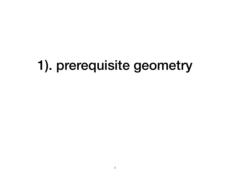# 1). prerequisite geometry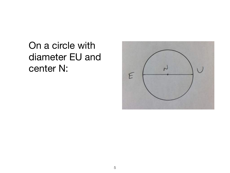# On a circle with diameter EU and center N:

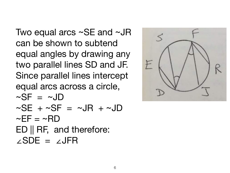Two equal arcs ~SE and ~JR can be shown to subtend equal angles by drawing any two parallel lines SD and JF. Since parallel lines intercept equal arcs across a circle,  $\sim$ SF =  $\sim$ JD  $\sim$ SE +  $\sim$ SF =  $\sim$ JR +  $\sim$ JD  $\sim$ EF =  $\sim$ RD ED || RF, and therefore: ∠SDE = ∠JFR

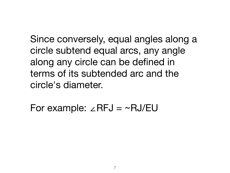Since conversely, equal angles along a circle subtend equal arcs, any angle along any circle can be defined in terms of its subtended arc and the circle's diameter.

For example: ∠RFJ = ~RJ/EU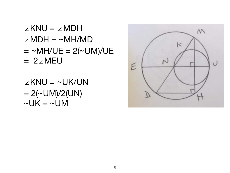#### ∠KNU = ∠MDH  $\angle MDH = \sim MH/MD$  $= \sim M H / U E = 2 (\sim U M) / U E$ = 2∠MEU

∠KNU = ~UK/UN  $= 2(-UM)/2(UN)$  $\nu$ UK =  $\nu$ UM

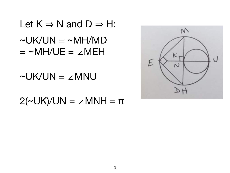Let  $K \Rightarrow N$  and  $D \Rightarrow H$ :  $\neg UK/UN = \neg MH/MD$  $= \sim M H / U E = \angle M E H$ 

 $\nu$ UK/UN =  $\angle$ MNU

 $2($ ~UK)/UN = ∠MNH =  $\pi$ 

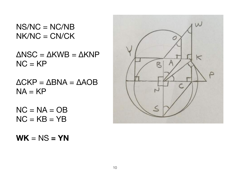NS/NC = NC/NB  $N$ K/NC = CN/CK

ΔNSC = ΔKWB = ΔKNP  $NC = KP$ 

 $\Delta$ CKP =  $\Delta$ BNA =  $\Delta$ AOB  $NA = KP$ 

 $NC = NA = OB$  $NC = KB = YB$ 

 $WK = NS = YN$ 

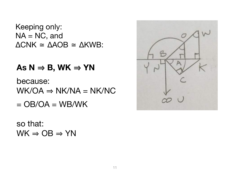Keeping only:  $NA = NC$ , and  $\triangle CNK \cong \triangle AOB \cong \triangle KWB$ :

#### $\mathsf{As} \mathsf{N} \Rightarrow \mathsf{B}, \mathsf{W}\mathsf{K} \Rightarrow \mathsf{YN}$

because:  $WK/OA \Rightarrow NK/NA = NK/NC$ 

 $=$  OB/OA  $=$  WB/WK

so that:  $WK \Rightarrow OB \Rightarrow YN$ 

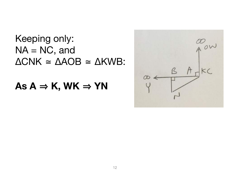### Keeping only:  $NA = NC$ , and  $\triangle CNK \cong \triangle AOB \cong \triangle KWB$ :

#### As  $A \Rightarrow K$ , WK  $\Rightarrow YN$

|          | Low     |
|----------|---------|
| $\alpha$ | KC<br>R |
|          |         |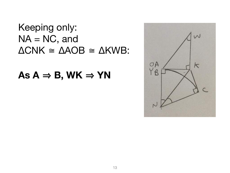#### Keeping only:  $NA = NC$ , and  $\triangle CNK \cong \triangle AOB \cong \triangle KWB$ :

#### As  $A \Rightarrow B$ , WK  $\Rightarrow$  YN

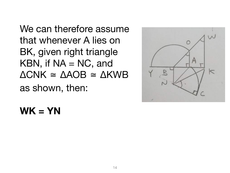We can therefore assume that whenever A lies on BK, given right triangle KBN, if  $NA = NC$ , and  $\triangle CNK \cong \triangle AOB \cong \triangle KWB$ as shown, then:



#### **WK = YN**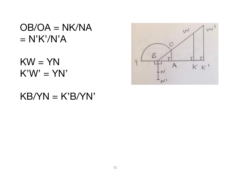$OB/OA = NK/NA$  $= N'K'/N'A$ 

 $KW = YM$  $K'W' = YN'$ 

#### $KB/YN = K'B/YN'$

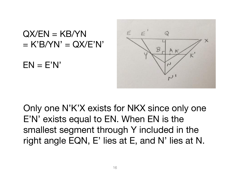

Only one N'K'X exists for NKX since only one E'N' exists equal to EN. When EN is the smallest segment through Y included in the right angle EQN, E' lies at E, and N' lies at N.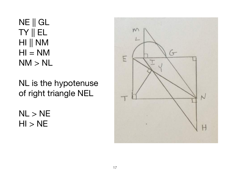NE || GL TY || EL HI || NM  $HI = NM$  $NM > NL$ 

NL is the hypotenuse of right triangle NEL

 $NL > NE$  $HI > NE$ 

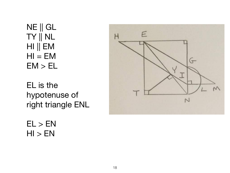NE || GL TY || NL HI || EM  $HI = EM$  $EM > EL$ 

EL is the hypotenuse of right triangle ENL



 $EL > EN$  $HI > EN$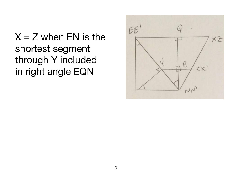$X = Z$  when EN is the shortest segment through Y included in right angle EQN

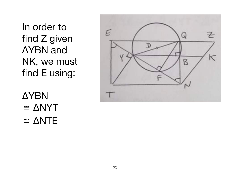In order to find Z given ΔYBN and NK, we must find E using:



**AYBN**  $\cong \triangle NYT$  $\cong \triangle NTE$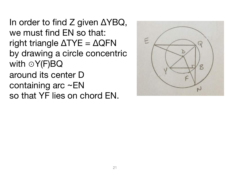In order to find Z given ΔYBQ, we must find EN so that: right triangle  $\triangle TYE = \triangle QFN$ by drawing a circle concentric with ⊙Y(F)BQ around its center D containing arc ~EN so that YF lies on chord EN.

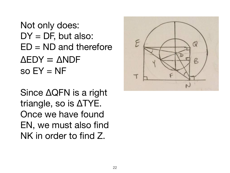Not only does:  $DY = DF$ , but also:  $ED = ND$  and therefore  $\Delta$ EDY =  $\Delta$ NDF  $so EY = NF$ 

Since ΔQFN is a right triangle, so is ΔTYE. Once we have found EN, we must also find NK in order to find Z.

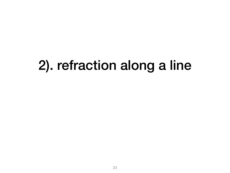# 2). refraction along a line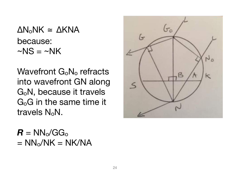ΔNoNK ≅ ΔKNA because:  $\sim$ NS =  $\sim$ NK

Wavefront G<sub>o</sub>N<sub>o</sub> refracts into wavefront GN along GoN, because it travels GoG in the same time it travels NoN.



 $R = NN_o/GG_o$  $= NN_o/NK = NK/NA$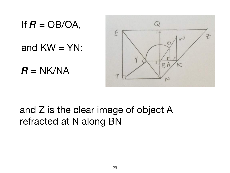If  $R = OB/OA$ ,

and  $KW = YM$ :

 $R = N$ K/NA



### and Z is the clear image of object A refracted at N along BN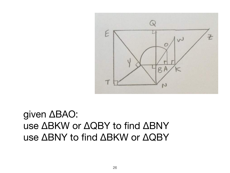

given ΔBAO: use ΔBKW or ΔQBY to find ΔBNY use ΔBNY to find ΔBKW or ΔQBY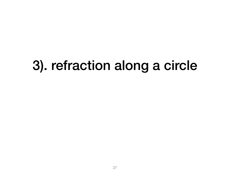# 3). refraction along a circle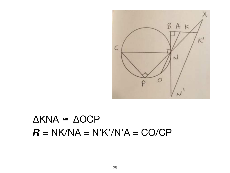

# $\triangle$ KNA  $\cong$   $\triangle$ OCP  $R = NK/NA = N'K'/N'A = CO/CP$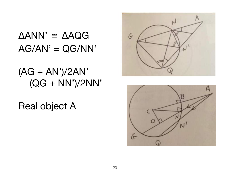# $\triangle ANN' \cong \triangle AQG$  $AG/AN' = QG/NN'$

 $(AG + AN')/2AN'$  $= (QG + NN')/2NN'$ 

**Real object A** 



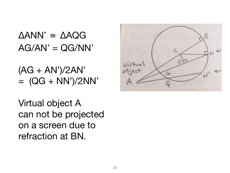$\triangle$ ANN'  $\cong$   $\triangle$ AQG  $AG/AN' = QG/NN'$ 

(AG + AN')/2AN'  $= (QG + NN')/2NN'$ 

Virtual object A can not be projected on a screen due to refraction at BN.

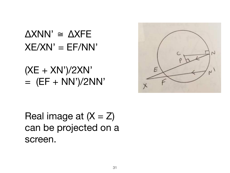# $\triangle$ XNN'  $\cong$   $\triangle$ XFE  $XE/XN' = EF/NN'$

(XE + XN')/2XN'  $=$   $(EF + NN')/2NN'$ 



Real image at  $(X = Z)$ can be projected on a screen.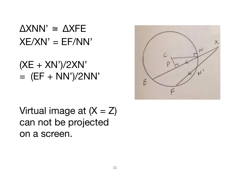# $\triangle$ XNN'  $\cong$   $\triangle$ XFE  $XE/XN' = EF/NN'$

# (XE + XN')/2XN'  $=$   $(EF + NN')/2NN'$



Virtual image at  $(X = Z)$ can not be projected on a screen.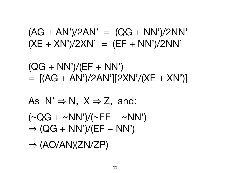# $(\sim QG + \sim NN')/(\sim EF + \sim NN')$  $\Rightarrow$  (QG + NN')/(EF + NN')  $\Rightarrow (AO/AN)(ZN/ZP)$

As 
$$
N' \Rightarrow N
$$
,  $X \Rightarrow Z$ , and:

 $(QG + NN')/(EF + NN')$  $=$   $[(AG + AN')/2AN'][2XN'/(XE + XN')]$ 

 $(AG + AN')/2AN' = (QG + NN')/2NN'$  $(XE + XN')/2XN' = (EF + NN')/2NN'$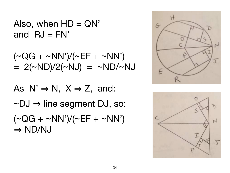Also, when  $HD = QN'$ and  $\mathsf{R}J = \mathsf{FN}'$ 

$$
(\sim QG + \sim NN')/(\sim EF + \sim NN')
$$
  
= 2( $\sim ND$ )/2( $\sim NJ$ ) =  $\sim ND/\sim NJ$ 

As  $N' \Rightarrow N$ ,  $X \Rightarrow Z$ , and:

 $\sim$ DJ  $\Rightarrow$  line segment DJ, so:

 $(\sim QG + \sim NN')/(\sim EF + \sim NN')$  $\Rightarrow$  ND/NJ



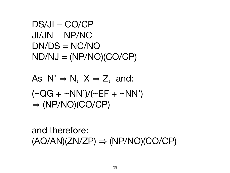```
DS/JI = CO/CPJI/JN = NP/NCDN/DS = NC/NOND/NJ = (NP/NO)(CO/CP)
```

```
As N' \Rightarrow N, X \Rightarrow Z, and:
(\sim QG + \sim NN')/(\sim EF + \sim NN')\Rightarrow (NP/NO)(CO/CP)
```
and therefore:  $(AO/AN)(ZN/ZP) \Rightarrow (NP/NO)(CO/CP)$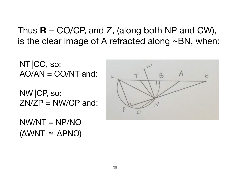Thus  $\mathbf{R} = \text{CO}/\text{CP}$ , and Z, (along both NP and CW), is the clear image of A refracted along ~BN, when:

NT||CO, so:  $AO/AN = CO/NT$  and:

NW||CP, so:  $ZNZP = NW/CP$  and:

 $NW/NT = NP/NO$ (ΔWNT ≅ ΔPNO)

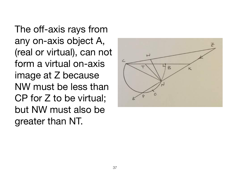The off-axis rays from any on-axis object A, (real or virtual), can not form a virtual on-axis image at Z because NW must be less than CP for Z to be virtual; but NW must also be greater than NT.

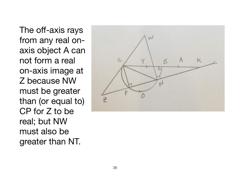The off-axis rays from any real onaxis object A can not form a real on-axis image at Z because NW must be greater than (or equal to) CP for Z to be real; but NW must also be greater than NT.

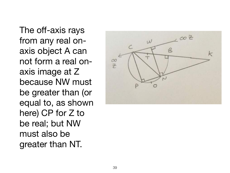The off-axis rays from any real onaxis object A can not form a real onaxis image at Z because NW must be greater than (or equal to, as shown here) CP for Z to be real; but NW must also be greater than NT.

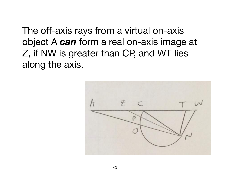The off-axis rays from a virtual on-axis object A *can* form a real on-axis image at Z, if NW is greater than CP, and WT lies along the axis.

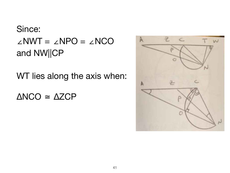### Since: ∠NWT = ∠NPO = ∠NCO and NW||CP

WT lies along the axis when:

ΔNCO ≅ ΔZCP

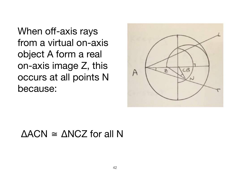When off-axis rays from a virtual on-axis object A form a real on-axis image Z, this occurs at all points N because:



#### ΔACN ≅ ΔNCZ for all N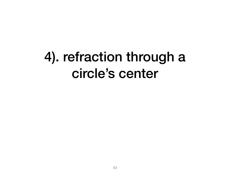## 4). refraction through a circle's center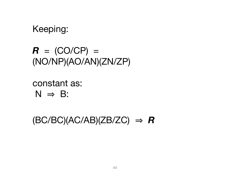Keeping:

 $R = (CO/CP) =$ (NO/NP)(AO/AN)(ZN/ZP)

constant as:  $N \Rightarrow B$ :

 $(BC/BC)(AC/AB)(ZB/ZC) \Rightarrow R$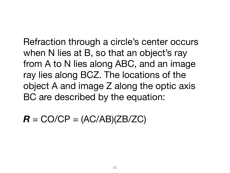Refraction through a circle's center occurs when N lies at B, so that an object's ray from A to N lies along ABC, and an image ray lies along BCZ. The locations of the object A and image Z along the optic axis BC are described by the equation:

 $R = CO/CP = (AC/AB)(ZB/ZC)$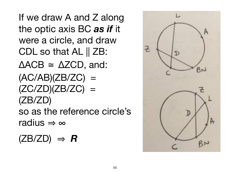If we draw A and Z along the optic axis BC *as if* it were a circle, and draw CDL so that AL || ZB:  $\triangle ACB \cong \triangle ZCD$ , and:  $(AC/AB)(ZB/ZC) =$  $(ZC/ZD)(ZB/ZC) =$ (ZB/ZD) so as the reference circle's radius  $\Rightarrow \infty$ 

 $(ZB/ZD) \Rightarrow R$ 

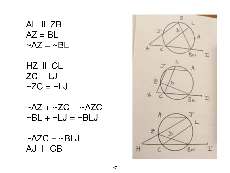AL ll ZB  $AZ = BL$  $\sim$ AZ =  $\sim$ BL

HZ ll CL  $ZC = LJ$  $\sim$ ZC =  $\sim$ LJ

 $\sim$ AZ +  $\sim$ ZC =  $\sim$ AZC  $\sim$ BL +  $\sim$ LJ =  $\sim$ BLJ

 $\sim$ AZC =  $\sim$ BLJ AJ ll CB

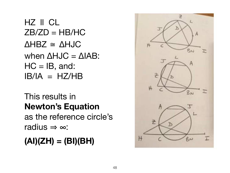HZ ll CL  $ZB/ZD = HB/HC$  $\triangle$ HBZ  $\cong$   $\triangle$ HJC when  $\triangle HJC = \triangle IAB$ :  $HC = IB$ , and:  $IB/IA = HZ/HB$ 

#### This results in **Newton's Equation**  as the reference circle's radius  $\Rightarrow \infty$ :

#### **(AI)(ZH) = (BI)(BH)**

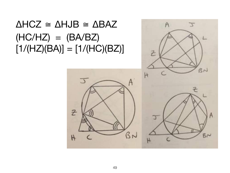$\triangle H C Z \cong \triangle H J B \cong \triangle B A Z$  $(HC/HZ) = (BA/BZ)$  $[1/(HZ)(BA)] = [1/(HC)(BZ)]$ 



2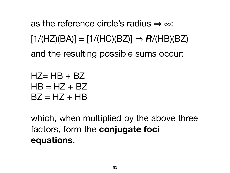as the reference circle's radius  $\Rightarrow \infty$ :  $[1/(HZ)(BA)] = [1/(HC)(BZ)] \Rightarrow R/(HB)(BZ)$ and the resulting possible sums occur:

 $HZ= HB + BZ$  $HB = HZ + BZ$  $BZ = HZ + HB$ 

which, when multiplied by the above three factors, form the **conjugate foci equations**.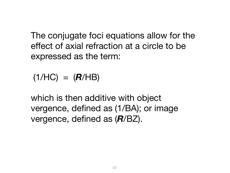The conjugate foci equations allow for the effect of axial refraction at a circle to be expressed as the term:

 $(1/HC) = (R/HB)$ 

which is then additive with object vergence, defined as (1/BA); or image vergence, defined as (*R*/BZ).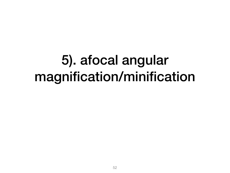## 5). afocal angular magnification/minification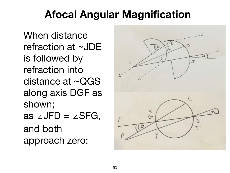### **Afocal Angular Magnification**

When distance refraction at ~JDE is followed by refraction into distance at ~QGS along axis DGF as shown; as ∠JFD =  $\angle$ SFG, and both approach zero:

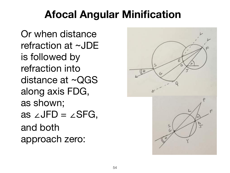### **Afocal Angular Minification**

Or when distance refraction at ~JDE is followed by refraction into distance at ~QGS along axis FDG, as shown; as ∠JFD =  $\angle$ SFG, and both approach zero:

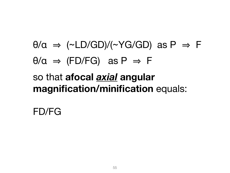### $\theta/\alpha \Rightarrow$  (~LD/GD)/(~YG/GD) as P  $\Rightarrow$  F  $\theta/\alpha \Rightarrow$  (FD/FG) as  $P \Rightarrow F$ so that **afocal** *axial* **angular magnification/minification** equals:

FD/FG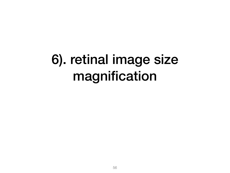# 6). retinal image size magnification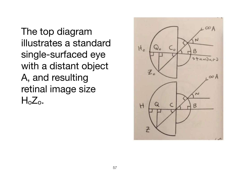The top diagram illustrates a standard single-surfaced eye with a distant object A, and resulting retinal image size  $H<sub>o</sub>Z<sub>o</sub>$ .

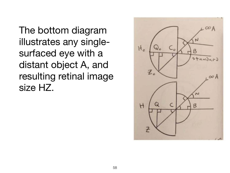The bottom diagram illustrates any singlesurfaced eye with a distant object A, and resulting retinal image size HZ.

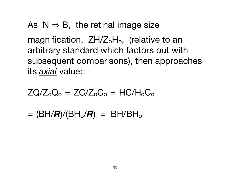As  $N \Rightarrow B$ , the retinal image size

magnification, ZH/Z<sub>o</sub>H<sub>o</sub>, (relative to an arbitrary standard which factors out with subsequent comparisons), then approaches its *axial* value:

 $ZQ/Z_0Q_0 = ZC/Z_0C_0 = HC/H_0C_0$ 

 $=$  (BH/ $R$ )/(BH<sub>o</sub>/ $R$ ) = BH/BH<sub>o</sub>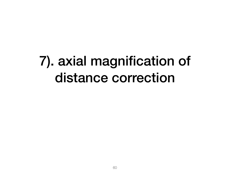## 7). axial magnification of distance correction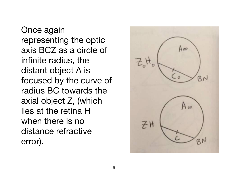Once again representing the optic axis BCZ as a circle of infinite radius, the distant object A is focused by the curve of radius BC towards the axial object Z, (which lies at the retina H when there is no distance refractive error).

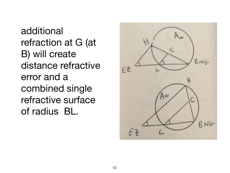additional refraction at G (at B) will create distance refractive error and a combined single refractive surface of radius BL.

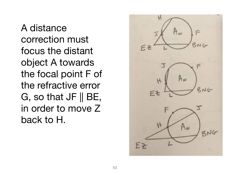A distance correction must focus the distant object A towards the focal point F of the refractive error G, so that JF || BE, in order to move Z back to H.

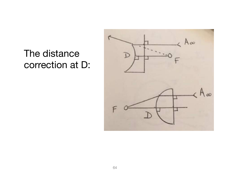### The distance correction at D:

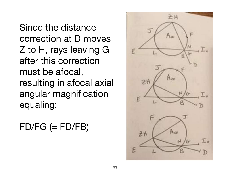Since the distance correction at D moves Z to H, rays leaving G after this correction must be afocal, resulting in afocal axial angular magnification equaling:

#### $FD/FG (= FD/FB)$

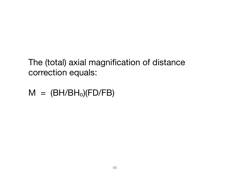The (total) axial magnification of distance correction equals:

 $M = (BH/BH<sub>o</sub>)(FD/FB)$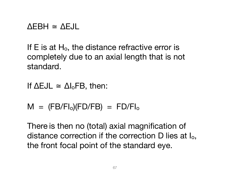#### $\triangle$ EBH  $\cong$   $\triangle$ EJL

If  $E$  is at  $H_0$ , the distance refractive error is completely due to an axial length that is not standard.

If  $\Delta$ EJL  $\cong$   $\Delta I_0$ FB, then:

 $M = (FB/FI<sub>o</sub>)(FD/FB) = FD/FI<sub>o</sub>$ 

There is then no (total) axial magnification of distance correction if the correction D lies at Io, the front focal point of the standard eye.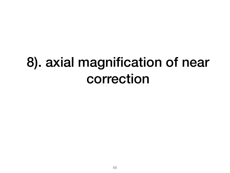# 8). axial magnification of near correction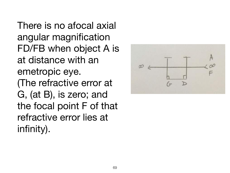There is no afocal axial angular magnification FD/FB when object A is at distance with an emetropic eye. (The refractive error at G, (at B), is zero; and the focal point F of that refractive error lies at infinity).

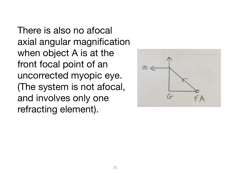There is also no afocal axial angular magnification when object A is at the front focal point of an uncorrected myopic eye. (The system is not afocal, and involves only one refracting element).

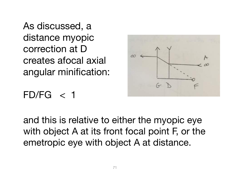As discussed, a distance myopic correction at D creates afocal axial angular minification:



### $FD/FG < 1$

and this is relative to either the myopic eye with object A at its front focal point F, or the emetropic eye with object A at distance.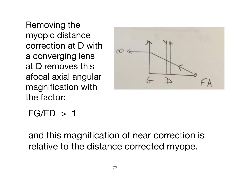Removing the myopic distance correction at D with a converging lens at D removes this afocal axial angular magnification with the factor:



#### $FG/FD > 1$

and this magnification of near correction is relative to the distance corrected myope.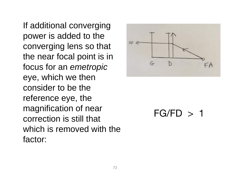If additional converging power is added to the converging lens so that the near focal point is in focus for an emetropic eye, which we then consider to be the reference eye, the magnification of near correction is still that which is removed with the factor:



### $FG/FD > 1$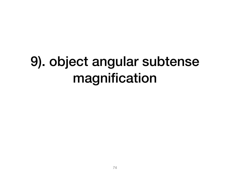# 9). object angular subtense magnification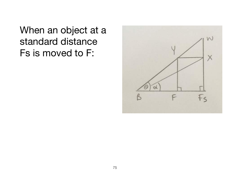When an object at a standard distance Fs is moved to F:

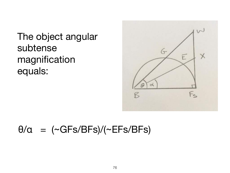The object angular subtense magnification equals:



### $\theta/\alpha$  = (~GFs/BFs)/(~EFs/BFs)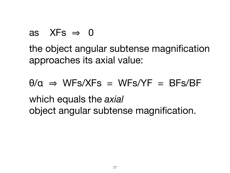as 
$$
XFs \Rightarrow 0
$$

the object angular subtense magnification approaches its axial value:

 $\theta/\alpha \Rightarrow WFs/XFs = WFs/YF = BFs/BF$ which equals the *axial* object angular subtense magnification.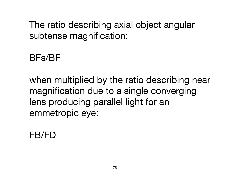The ratio describing axial object angular subtense magnification:

### BFs/BF

when multiplied by the ratio describing near magnification due to a single converging lens producing parallel light for an emmetropic eye:

#### FB/FD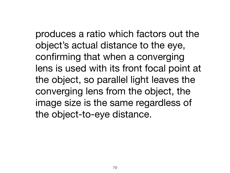produces a ratio which factors out the object's actual distance to the eye, confirming that when a converging lens is used with its front focal point at the object, so parallel light leaves the converging lens from the object, the image size is the same regardless of the object-to-eye distance.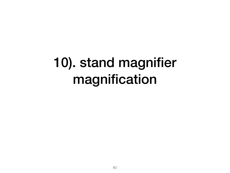# 10). stand magnifier magnification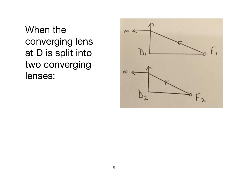When the converging lens at D is split into two converging lenses:

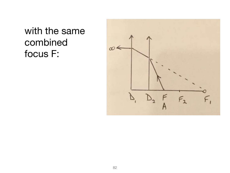with the same combined focus F:

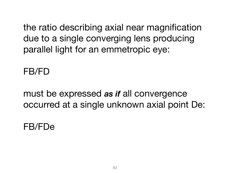the ratio describing axial near magnification due to a single converging lens producing parallel light for an emmetropic eye:

FB/FD

must be expressed *as if* all convergence occurred at a single unknown axial point De:

FB/FDe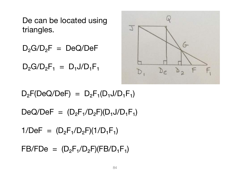De can be located using triangles.

 $D_2G/D_2F = DeQ/DeF$ 

 $D_2G/D_2F_1 = D_1J/D_1F_1$ 



 $D_2F(DeQ/DeF) = D_2F_1(D_1J/D_1F_1)$ 

 $DeQ/DeF = (D<sub>2</sub>F<sub>1</sub>/D<sub>2</sub>F)(D<sub>1</sub>J/D<sub>1</sub>F<sub>1</sub>)$ 

 $1/DeF = (D<sub>2</sub>F<sub>1</sub>/D<sub>2</sub>F)(1/D<sub>1</sub>F<sub>1</sub>)$ 

 $FB/FDe = (D_2F_1/D_2F)(FB/D_1F_1)$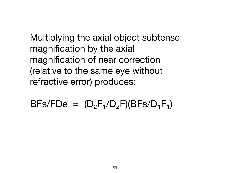Multiplying the axial object subtense magnification by the axial magnification of near correction (relative to the same eye without refractive error) produces:

 $BFs/FDe = (D<sub>2</sub>F<sub>1</sub>/D<sub>2</sub>F)(BFs/D<sub>1</sub>F<sub>1</sub>)$